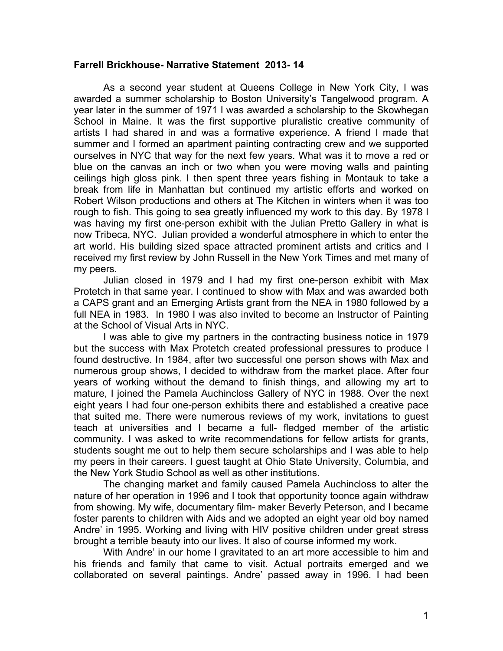## **Farrell Brickhouse- Narrative Statement 2013- 14**

As a second year student at Queens College in New York City, I was awarded a summer scholarship to Boston University's Tangelwood program. A year later in the summer of 1971 I was awarded a scholarship to the Skowhegan School in Maine. It was the first supportive pluralistic creative community of artists I had shared in and was a formative experience. A friend I made that summer and I formed an apartment painting contracting crew and we supported ourselves in NYC that way for the next few years. What was it to move a red or blue on the canvas an inch or two when you were moving walls and painting ceilings high gloss pink. I then spent three years fishing in Montauk to take a break from life in Manhattan but continued my artistic efforts and worked on Robert Wilson productions and others at The Kitchen in winters when it was too rough to fish. This going to sea greatly influenced my work to this day. By 1978 I was having my first one-person exhibit with the Julian Pretto Gallery in what is now Tribeca, NYC. Julian provided a wonderful atmosphere in which to enter the art world. His building sized space attracted prominent artists and critics and I received my first review by John Russell in the New York Times and met many of my peers.

Julian closed in 1979 and I had my first one-person exhibit with Max Protetch in that same year. I continued to show with Max and was awarded both a CAPS grant and an Emerging Artists grant from the NEA in 1980 followed by a full NEA in 1983. In 1980 I was also invited to become an Instructor of Painting at the School of Visual Arts in NYC.

I was able to give my partners in the contracting business notice in 1979 but the success with Max Protetch created professional pressures to produce I found destructive. In 1984, after two successful one person shows with Max and numerous group shows, I decided to withdraw from the market place. After four years of working without the demand to finish things, and allowing my art to mature, I joined the Pamela Auchincloss Gallery of NYC in 1988. Over the next eight years I had four one-person exhibits there and established a creative pace that suited me. There were numerous reviews of my work, invitations to guest teach at universities and I became a full- fledged member of the artistic community. I was asked to write recommendations for fellow artists for grants, students sought me out to help them secure scholarships and I was able to help my peers in their careers. I guest taught at Ohio State University, Columbia, and the New York Studio School as well as other institutions.

The changing market and family caused Pamela Auchincloss to alter the nature of her operation in 1996 and I took that opportunity toonce again withdraw from showing. My wife, documentary film- maker Beverly Peterson, and I became foster parents to children with Aids and we adopted an eight year old boy named Andre' in 1995. Working and living with HIV positive children under great stress brought a terrible beauty into our lives. It also of course informed my work.

With Andre' in our home I gravitated to an art more accessible to him and his friends and family that came to visit. Actual portraits emerged and we collaborated on several paintings. Andre' passed away in 1996. I had been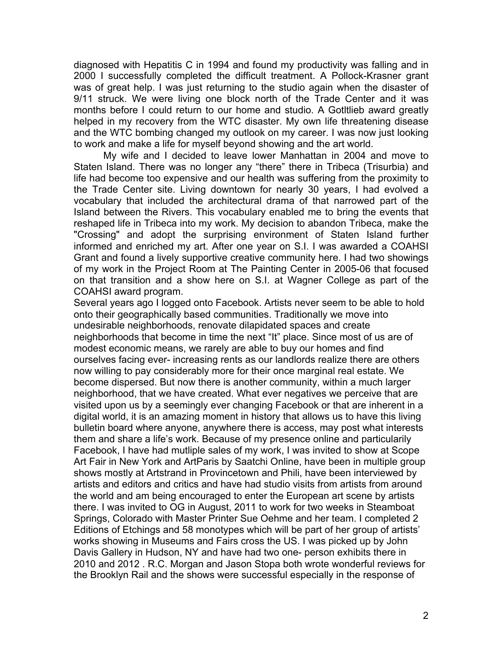diagnosed with Hepatitis C in 1994 and found my productivity was falling and in 2000 I successfully completed the difficult treatment. A Pollock-Krasner grant was of great help. I was just returning to the studio again when the disaster of 9/11 struck. We were living one block north of the Trade Center and it was months before I could return to our home and studio. A Gotltlieb award greatly helped in my recovery from the WTC disaster. My own life threatening disease and the WTC bombing changed my outlook on my career. I was now just looking to work and make a life for myself beyond showing and the art world.

My wife and I decided to leave lower Manhattan in 2004 and move to Staten Island. There was no longer any "there" there in Tribeca (Trisurbia) and life had become too expensive and our health was suffering from the proximity to the Trade Center site. Living downtown for nearly 30 years, I had evolved a vocabulary that included the architectural drama of that narrowed part of the Island between the Rivers. This vocabulary enabled me to bring the events that reshaped life in Tribeca into my work. My decision to abandon Tribeca, make the "Crossing" and adopt the surprising environment of Staten Island further informed and enriched my art. After one year on S.I. I was awarded a COAHSI Grant and found a lively supportive creative community here. I had two showings of my work in the Project Room at The Painting Center in 2005-06 that focused on that transition and a show here on S.I. at Wagner College as part of the COAHSI award program.

Several years ago I logged onto Facebook. Artists never seem to be able to hold onto their geographically based communities. Traditionally we move into undesirable neighborhoods, renovate dilapidated spaces and create neighborhoods that become in time the next "It" place. Since most of us are of modest economic means, we rarely are able to buy our homes and find ourselves facing ever- increasing rents as our landlords realize there are others now willing to pay considerably more for their once marginal real estate. We become dispersed. But now there is another community, within a much larger neighborhood, that we have created. What ever negatives we perceive that are visited upon us by a seemingly ever changing Facebook or that are inherent in a digital world, it is an amazing moment in history that allows us to have this living bulletin board where anyone, anywhere there is access, may post what interests them and share a life's work. Because of my presence online and particularily Facebook, I have had mutliple sales of my work, I was invited to show at Scope Art Fair in New York and ArtParis by Saatchi Online, have been in multiple group shows mostly at Artstrand in Provincetown and Phili, have been interviewed by artists and editors and critics and have had studio visits from artists from around the world and am being encouraged to enter the European art scene by artists there. I was invited to OG in August, 2011 to work for two weeks in Steamboat Springs, Colorado with Master Printer Sue Oehme and her team. I completed 2 Editions of Etchings and 58 monotypes which will be part of her group of artists' works showing in Museums and Fairs cross the US. I was picked up by John Davis Gallery in Hudson, NY and have had two one- person exhibits there in 2010 and 2012 . R.C. Morgan and Jason Stopa both wrote wonderful reviews for the Brooklyn Rail and the shows were successful especially in the response of